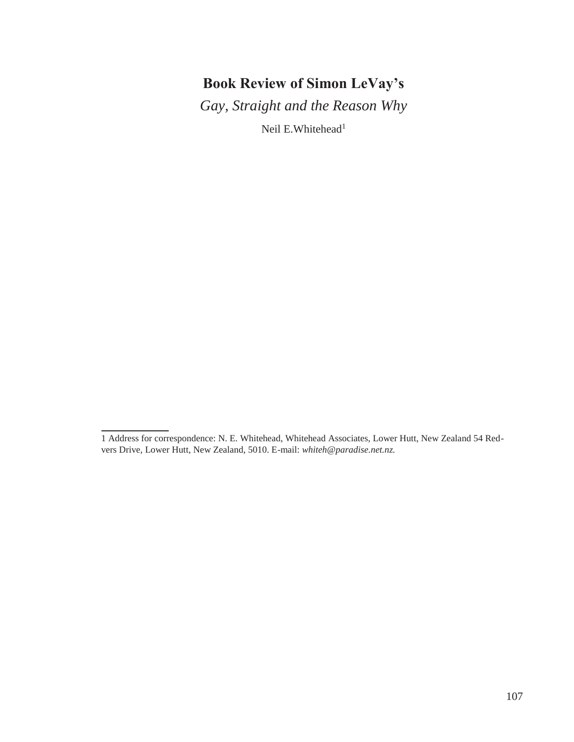# **Book Review of Simon LeVay's**

*Gay, Straight and the Reason Why*

Neil E.Whitehead<sup>1</sup>

<sup>1</sup> Address for correspondence: N. E. Whitehead, Whitehead Associates, Lower Hutt, New Zealand 54 Redvers Drive, Lower Hutt, New Zealand, 5010. E-mail: *[whiteh@paradise.net.nz.](mailto:whiteh@paradise.net.nz)*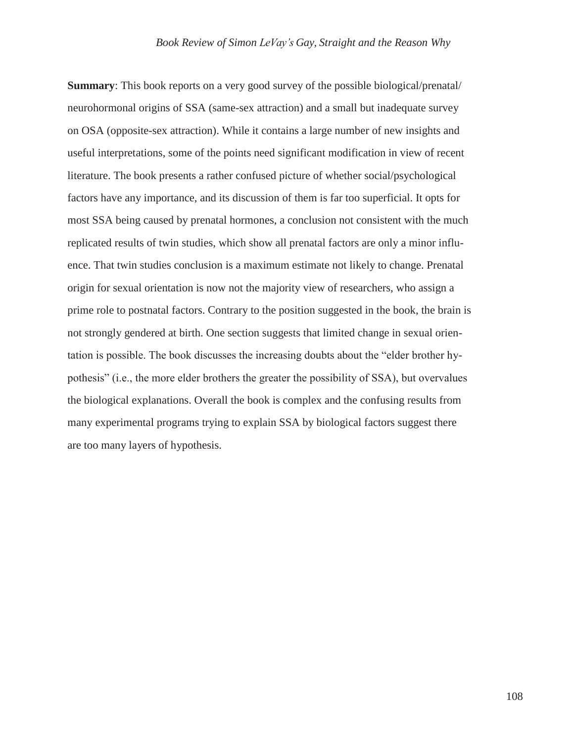**Summary**: This book reports on a very good survey of the possible biological/prenatal/ neurohormonal origins of SSA (same-sex attraction) and a small but inadequate survey on OSA (opposite-sex attraction). While it contains a large number of new insights and useful interpretations, some of the points need significant modification in view of recent literature. The book presents a rather confused picture of whether social/psychological factors have any importance, and its discussion of them is far too superficial. It opts for most SSA being caused by prenatal hormones, a conclusion not consistent with the much replicated results of twin studies, which show all prenatal factors are only a minor influence. That twin studies conclusion is a maximum estimate not likely to change. Prenatal origin for sexual orientation is now not the majority view of researchers, who assign a prime role to postnatal factors. Contrary to the position suggested in the book, the brain is not strongly gendered at birth. One section suggests that limited change in sexual orientation is possible. The book discusses the increasing doubts about the "elder brother hypothesis" (i.e., the more elder brothers the greater the possibility of SSA), but overvalues the biological explanations. Overall the book is complex and the confusing results from many experimental programs trying to explain SSA by biological factors suggest there are too many layers of hypothesis.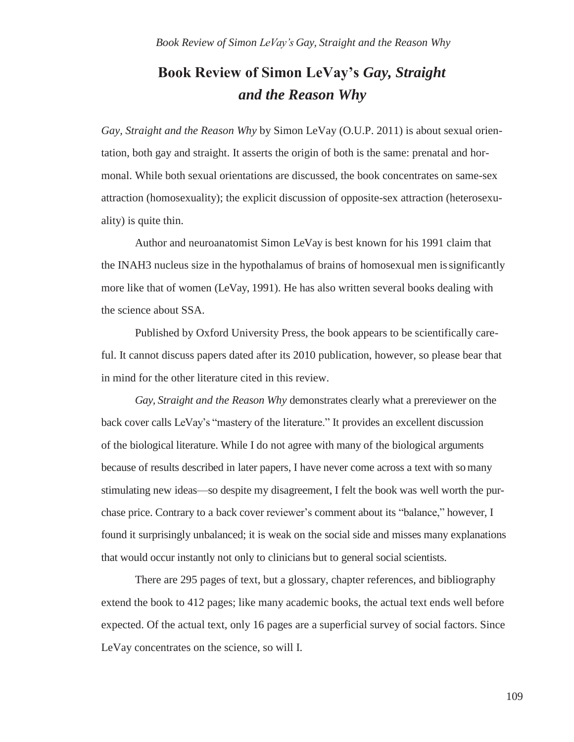# **Book Review of Simon LeVay's** *Gay, Straight and the Reason Why*

*Gay, Straight and the Reason Why* by Simon LeVay (O.U.P. 2011) is about sexual orientation, both gay and straight. It asserts the origin of both is the same: prenatal and hormonal. While both sexual orientations are discussed, the book concentrates on same-sex attraction (homosexuality); the explicit discussion of opposite-sex attraction (heterosexuality) is quite thin.

Author and neuroanatomist Simon LeVay is best known for his 1991 claim that the INAH3 nucleus size in the hypothalamus of brains of homosexual men issignificantly more like that of women (LeVay, 1991). He has also written several books dealing with the science about SSA.

Published by Oxford University Press, the book appears to be scientifically careful. It cannot discuss papers dated after its 2010 publication, however, so please bear that in mind for the other literature cited in this review.

*Gay, Straight and the Reason Why* demonstrates clearly what a prereviewer on the back cover calls LeVay's "mastery of the literature." It provides an excellent discussion of the biological literature. While I do not agree with many of the biological arguments because of results described in later papers, I have never come across a text with somany stimulating new ideas—so despite my disagreement, I felt the book was well worth the purchase price. Contrary to a back cover reviewer's comment about its "balance," however, I found it surprisingly unbalanced; it is weak on the social side and misses many explanations that would occur instantly not only to clinicians but to general social scientists.

There are 295 pages of text, but a glossary, chapter references, and bibliography extend the book to 412 pages; like many academic books, the actual text ends well before expected. Of the actual text, only 16 pages are a superficial survey of social factors. Since LeVay concentrates on the science, so will I.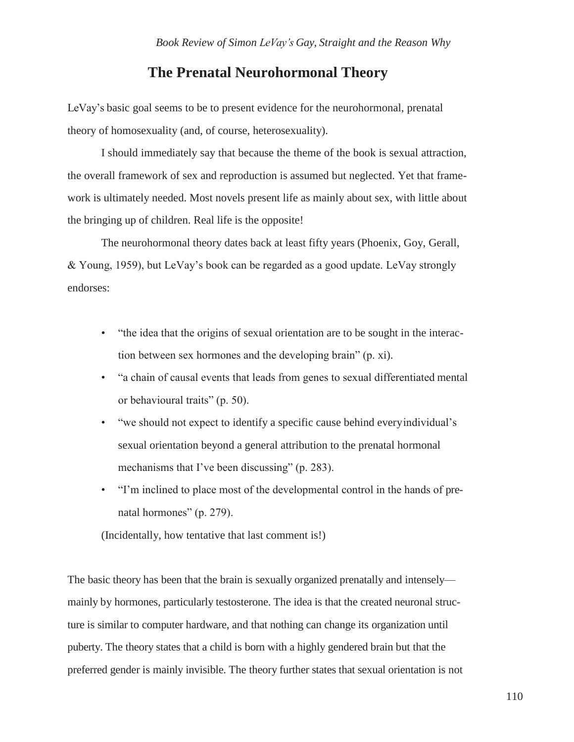#### **The Prenatal Neurohormonal Theory**

LeVay's basic goal seems to be to present evidence for the neurohormonal, prenatal theory of homosexuality (and, of course, heterosexuality).

I should immediately say that because the theme of the book is sexual attraction, the overall framework of sex and reproduction is assumed but neglected. Yet that framework is ultimately needed. Most novels present life as mainly about sex, with little about the bringing up of children. Real life is the opposite!

The neurohormonal theory dates back at least fifty years (Phoenix, Goy, Gerall, & Young, 1959), but LeVay's book can be regarded as a good update. LeVay strongly endorses:

- "the idea that the origins of sexual orientation are to be sought in the interaction between sex hormones and the developing brain" (p. xi).
- "a chain of causal events that leads from genes to sexual differentiated mental or behavioural traits" (p. 50).
- "we should not expect to identify a specific cause behind everyindividual's sexual orientation beyond a general attribution to the prenatal hormonal mechanisms that I've been discussing" (p. 283).
- "I'm inclined to place most of the developmental control in the hands of prenatal hormones" (p. 279).

(Incidentally, how tentative that last comment is!)

The basic theory has been that the brain is sexually organized prenatally and intensely mainly by hormones, particularly testosterone. The idea is that the created neuronal structure is similar to computer hardware, and that nothing can change its organization until puberty. The theory states that a child is born with a highly gendered brain but that the preferred gender is mainly invisible. The theory further states that sexual orientation is not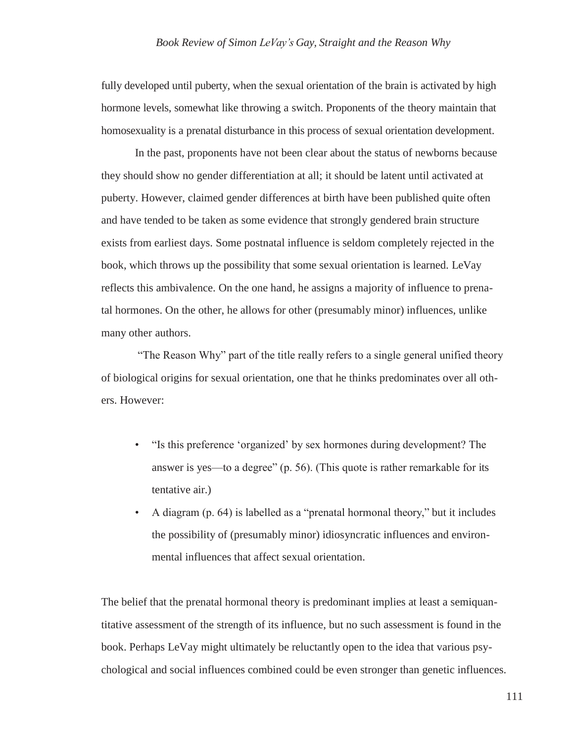fully developed until puberty, when the sexual orientation of the brain is activated by high hormone levels, somewhat like throwing a switch. Proponents of the theory maintain that homosexuality is a prenatal disturbance in this process of sexual orientation development.

In the past, proponents have not been clear about the status of newborns because they should show no gender differentiation at all; it should be latent until activated at puberty. However, claimed gender differences at birth have been published quite often and have tended to be taken as some evidence that strongly gendered brain structure exists from earliest days. Some postnatal influence is seldom completely rejected in the book, which throws up the possibility that some sexual orientation is learned. LeVay reflects this ambivalence. On the one hand, he assigns a majority of influence to prenatal hormones. On the other, he allows for other (presumably minor) influences, unlike many other authors.

"The Reason Why" part of the title really refers to a single general unified theory of biological origins for sexual orientation, one that he thinks predominates over all others. However:

- "Is this preference 'organized' by sex hormones during development? The answer is yes—to a degree" (p. 56). (This quote is rather remarkable for its tentative air.)
- A diagram (p. 64) is labelled as a "prenatal hormonal theory," but it includes the possibility of (presumably minor) idiosyncratic influences and environmental influences that affect sexual orientation.

The belief that the prenatal hormonal theory is predominant implies at least a semiquantitative assessment of the strength of its influence, but no such assessment is found in the book. Perhaps LeVay might ultimately be reluctantly open to the idea that various psychological and social influences combined could be even stronger than genetic influences.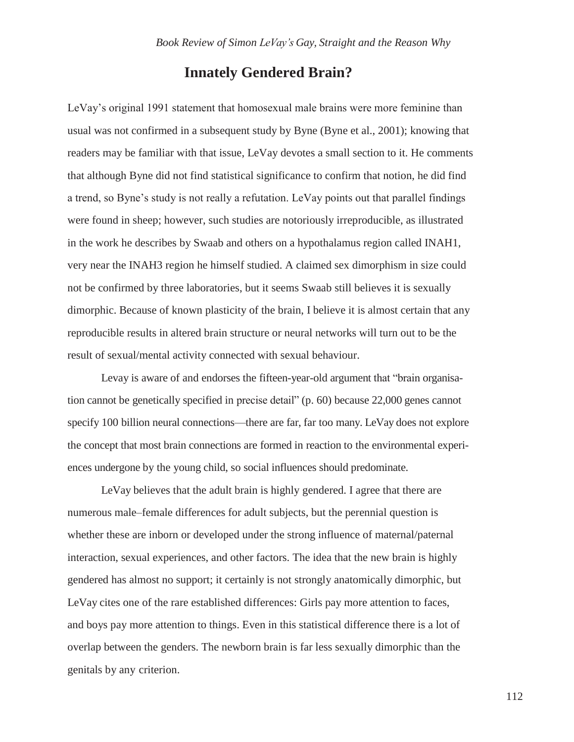## **Innately Gendered Brain?**

LeVay's original 1991 statement that homosexual male brains were more feminine than usual was not confirmed in a subsequent study by Byne (Byne et al., 2001); knowing that readers may be familiar with that issue, LeVay devotes a small section to it. He comments that although Byne did not find statistical significance to confirm that notion, he did find a trend, so Byne's study is not really a refutation. LeVay points out that parallel findings were found in sheep; however, such studies are notoriously irreproducible, as illustrated in the work he describes by Swaab and others on a hypothalamus region called INAH1, very near the INAH3 region he himself studied. A claimed sex dimorphism in size could not be confirmed by three laboratories, but it seems Swaab still believes it is sexually dimorphic. Because of known plasticity of the brain, I believe it is almost certain that any reproducible results in altered brain structure or neural networks will turn out to be the result of sexual/mental activity connected with sexual behaviour.

Levay is aware of and endorses the fifteen-year-old argument that "brain organisation cannot be genetically specified in precise detail" (p. 60) because 22,000 genes cannot specify 100 billion neural connections—there are far, far too many. LeVay does not explore the concept that most brain connections are formed in reaction to the environmental experiences undergone by the young child, so social influences should predominate.

LeVay believes that the adult brain is highly gendered. I agree that there are numerous male–female differences for adult subjects, but the perennial question is whether these are inborn or developed under the strong influence of maternal/paternal interaction, sexual experiences, and other factors. The idea that the new brain is highly gendered has almost no support; it certainly is not strongly anatomically dimorphic, but LeVay cites one of the rare established differences: Girls pay more attention to faces, and boys pay more attention to things. Even in this statistical difference there is a lot of overlap between the genders. The newborn brain is far less sexually dimorphic than the genitals by any criterion.

112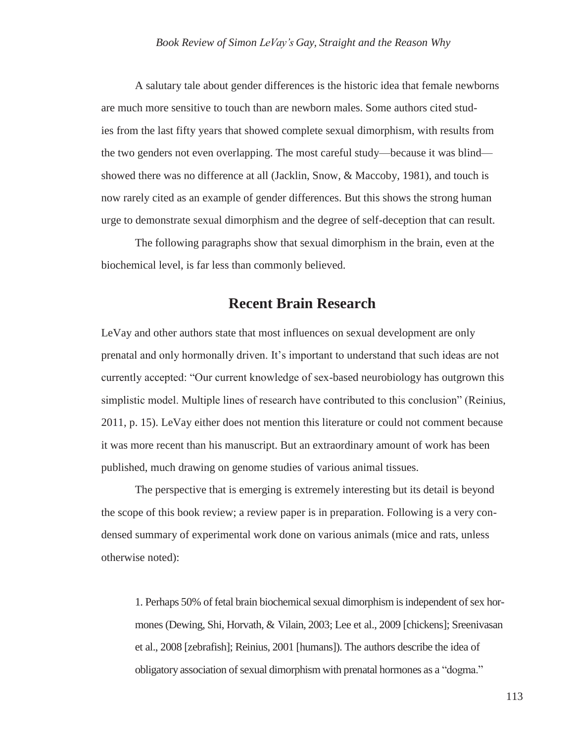A salutary tale about gender differences is the historic idea that female newborns are much more sensitive to touch than are newborn males. Some authors cited studies from the last fifty years that showed complete sexual dimorphism, with results from the two genders not even overlapping. The most careful study—because it was blind showed there was no difference at all (Jacklin, Snow, & Maccoby, 1981), and touch is now rarely cited as an example of gender differences. But this shows the strong human urge to demonstrate sexual dimorphism and the degree of self-deception that can result.

The following paragraphs show that sexual dimorphism in the brain, even at the biochemical level, is far less than commonly believed.

# **Recent Brain Research**

LeVay and other authors state that most influences on sexual development are only prenatal and only hormonally driven. It's important to understand that such ideas are not currently accepted: "Our current knowledge of sex-based neurobiology has outgrown this simplistic model. Multiple lines of research have contributed to this conclusion" (Reinius, 2011, p. 15). LeVay either does not mention this literature or could not comment because it was more recent than his manuscript. But an extraordinary amount of work has been published, much drawing on genome studies of various animal tissues.

The perspective that is emerging is extremely interesting but its detail is beyond the scope of this book review; a review paper is in preparation. Following is a very condensed summary of experimental work done on various animals (mice and rats, unless otherwise noted):

1. Perhaps 50% of fetal brain biochemical sexual dimorphism is independent of sex hormones (Dewing, Shi, Horvath, & Vilain, 2003; Lee et al., 2009 [chickens]; Sreenivasan et al., 2008 [zebrafish]; Reinius, 2001 [humans]). The authors describe the idea of obligatory association of sexual dimorphism with prenatal hormones as a "dogma."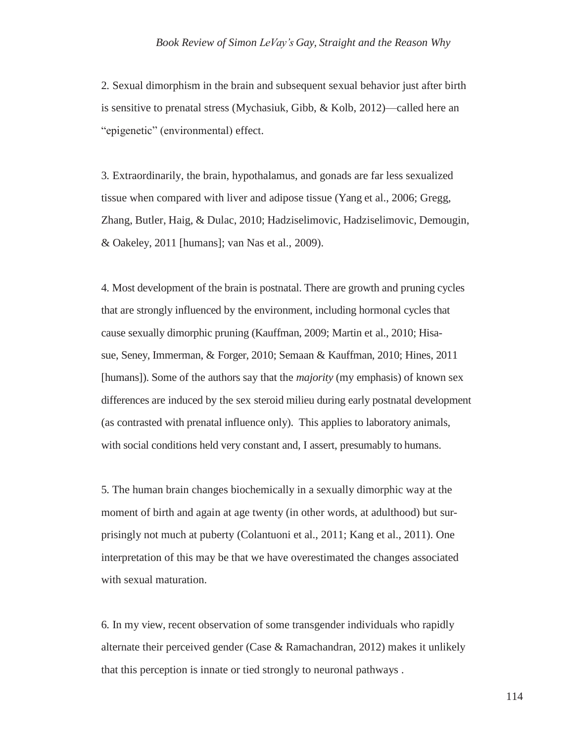#### *Book Review of Simon LeVay's Gay, Straight and the Reason Why*

2. Sexual dimorphism in the brain and subsequent sexual behavior just after birth is sensitive to prenatal stress (Mychasiuk, Gibb, & Kolb, 2012)—called here an "epigenetic" (environmental) effect.

3. Extraordinarily, the brain, hypothalamus, and gonads are far less sexualized tissue when compared with liver and adipose tissue (Yang et al., 2006; Gregg, Zhang, Butler, Haig, & Dulac, 2010; Hadziselimovic, Hadziselimovic, Demougin, & Oakeley, 2011 [humans]; van Nas et al., 2009).

4. Most development of the brain is postnatal. There are growth and pruning cycles that are strongly influenced by the environment, including hormonal cycles that cause sexually dimorphic pruning (Kauffman, 2009; Martin et al., 2010; Hisasue, Seney, Immerman, & Forger, 2010; Semaan & Kauffman, 2010; Hines, 2011 [humans]). Some of the authors say that the *majority* (my emphasis) of known sex differences are induced by the sex steroid milieu during early postnatal development (as contrasted with prenatal influence only). This applies to laboratory animals, with social conditions held very constant and, I assert, presumably to humans.

5. The human brain changes biochemically in a sexually dimorphic way at the moment of birth and again at age twenty (in other words, at adulthood) but surprisingly not much at puberty (Colantuoni et al., 2011; Kang et al., 2011). One interpretation of this may be that we have overestimated the changes associated with sexual maturation.

6. In my view, recent observation of some transgender individuals who rapidly alternate their perceived gender (Case & Ramachandran, 2012) makes it unlikely that this perception is innate or tied strongly to neuronal pathways .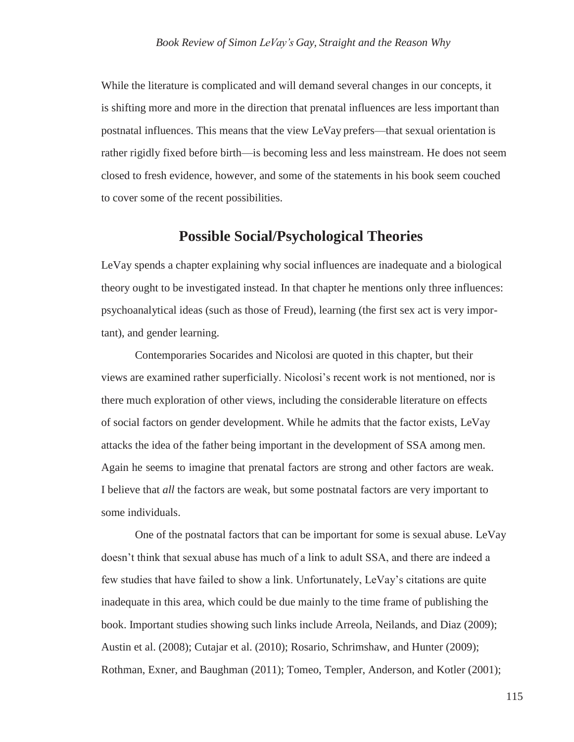While the literature is complicated and will demand several changes in our concepts, it is shifting more and more in the direction that prenatal influences are less important than postnatal influences. This means that the view LeVay prefers—that sexual orientation is rather rigidly fixed before birth—is becoming less and less mainstream. He does not seem closed to fresh evidence, however, and some of the statements in his book seem couched to cover some of the recent possibilities.

#### **Possible Social/Psychological Theories**

LeVay spends a chapter explaining why social influences are inadequate and a biological theory ought to be investigated instead. In that chapter he mentions only three influences: psychoanalytical ideas (such as those of Freud), learning (the first sex act is very important), and gender learning.

Contemporaries Socarides and Nicolosi are quoted in this chapter, but their views are examined rather superficially. Nicolosi's recent work is not mentioned, nor is there much exploration of other views, including the considerable literature on effects of social factors on gender development. While he admits that the factor exists, LeVay attacks the idea of the father being important in the development of SSA among men. Again he seems to imagine that prenatal factors are strong and other factors are weak. I believe that *all* the factors are weak, but some postnatal factors are very important to some individuals.

One of the postnatal factors that can be important for some is sexual abuse. LeVay doesn't think that sexual abuse has much of a link to adult SSA, and there are indeed a few studies that have failed to show a link. Unfortunately, LeVay's citations are quite inadequate in this area, which could be due mainly to the time frame of publishing the book. Important studies showing such links include Arreola, Neilands, and Diaz (2009); Austin et al. (2008); Cutajar et al. (2010); Rosario, Schrimshaw, and Hunter (2009); Rothman, Exner, and Baughman (2011); Tomeo, Templer, Anderson, and Kotler (2001);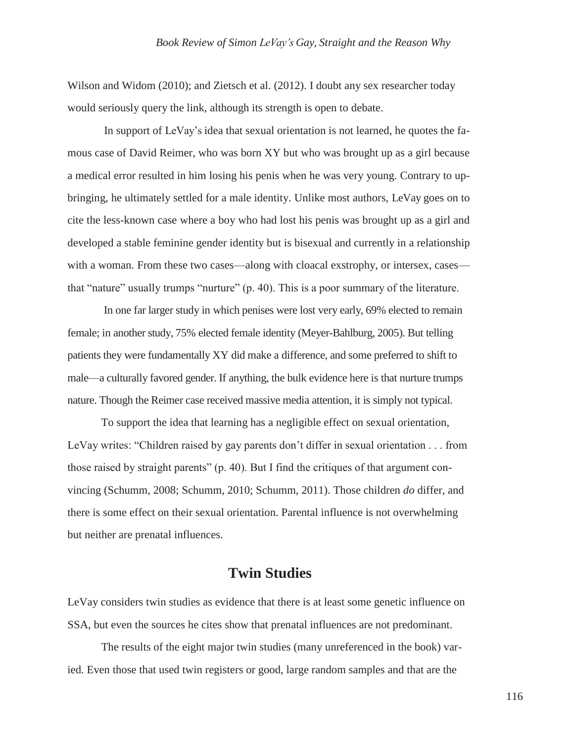Wilson and Widom (2010); and Zietsch et al. (2012). I doubt any sex researcher today would seriously query the link, although its strength is open to debate.

In support of LeVay's idea that sexual orientation is not learned, he quotes the famous case of David Reimer, who was born XY but who was brought up as a girl because a medical error resulted in him losing his penis when he was very young. Contrary to upbringing, he ultimately settled for a male identity. Unlike most authors, LeVay goes on to cite the less-known case where a boy who had lost his penis was brought up as a girl and developed a stable feminine gender identity but is bisexual and currently in a relationship with a woman. From these two cases—along with cloacal exstrophy, or intersex, cases that "nature" usually trumps "nurture" (p. 40). This is a poor summary of the literature.

In one far larger study in which penises were lost very early, 69% elected to remain female; in another study, 75% elected female identity (Meyer-Bahlburg, 2005). But telling patients they were fundamentally XY did make a difference, and some preferred to shift to male—a culturally favored gender. If anything, the bulk evidence here is that nurture trumps nature. Though the Reimer case received massive media attention, it is simply not typical.

To support the idea that learning has a negligible effect on sexual orientation, LeVay writes: "Children raised by gay parents don't differ in sexual orientation . . . from those raised by straight parents" (p. 40). But I find the critiques of that argument convincing (Schumm, 2008; Schumm, 2010; Schumm, 2011). Those children *do* differ, and there is some effect on their sexual orientation. Parental influence is not overwhelming but neither are prenatal influences.

# **Twin Studies**

LeVay considers twin studies as evidence that there is at least some genetic influence on SSA, but even the sources he cites show that prenatal influences are not predominant.

The results of the eight major twin studies (many unreferenced in the book) varied. Even those that used twin registers or good, large random samples and that are the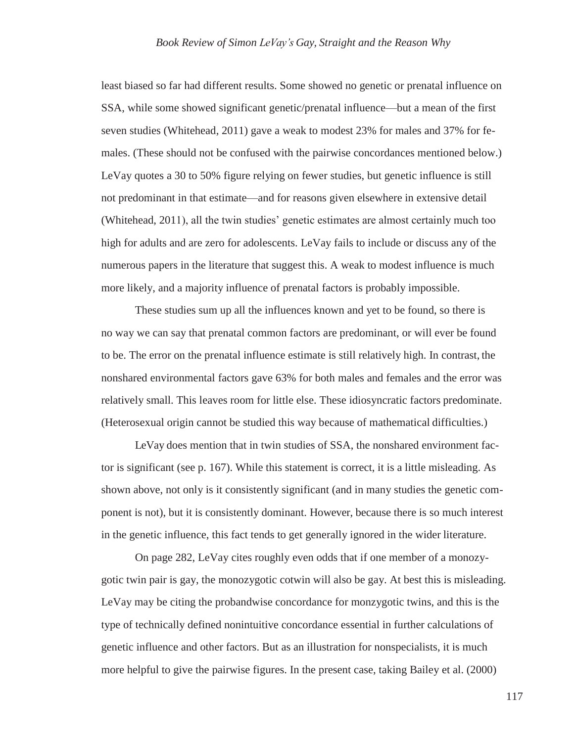least biased so far had different results. Some showed no genetic or prenatal influence on SSA, while some showed significant genetic/prenatal influence—but a mean of the first seven studies (Whitehead, 2011) gave a weak to modest 23% for males and 37% for females. (These should not be confused with the pairwise concordances mentioned below.) LeVay quotes a 30 to 50% figure relying on fewer studies, but genetic influence is still not predominant in that estimate—and for reasons given elsewhere in extensive detail (Whitehead, 2011), all the twin studies' genetic estimates are almost certainly much too high for adults and are zero for adolescents. LeVay fails to include or discuss any of the numerous papers in the literature that suggest this. A weak to modest influence is much more likely, and a majority influence of prenatal factors is probably impossible.

These studies sum up all the influences known and yet to be found, so there is no way we can say that prenatal common factors are predominant, or will ever be found to be. The error on the prenatal influence estimate is still relatively high. In contrast, the nonshared environmental factors gave 63% for both males and females and the error was relatively small. This leaves room for little else. These idiosyncratic factors predominate. (Heterosexual origin cannot be studied this way because of mathematical difficulties.)

LeVay does mention that in twin studies of SSA, the nonshared environment factor is significant (see p. 167). While this statement is correct, it is a little misleading. As shown above, not only is it consistently significant (and in many studies the genetic component is not), but it is consistently dominant. However, because there is so much interest in the genetic influence, this fact tends to get generally ignored in the wider literature.

On page 282, LeVay cites roughly even odds that if one member of a monozygotic twin pair is gay, the monozygotic cotwin will also be gay. At best this is misleading. LeVay may be citing the probandwise concordance for monzygotic twins, and this is the type of technically defined nonintuitive concordance essential in further calculations of genetic influence and other factors. But as an illustration for nonspecialists, it is much more helpful to give the pairwise figures. In the present case, taking Bailey et al. (2000)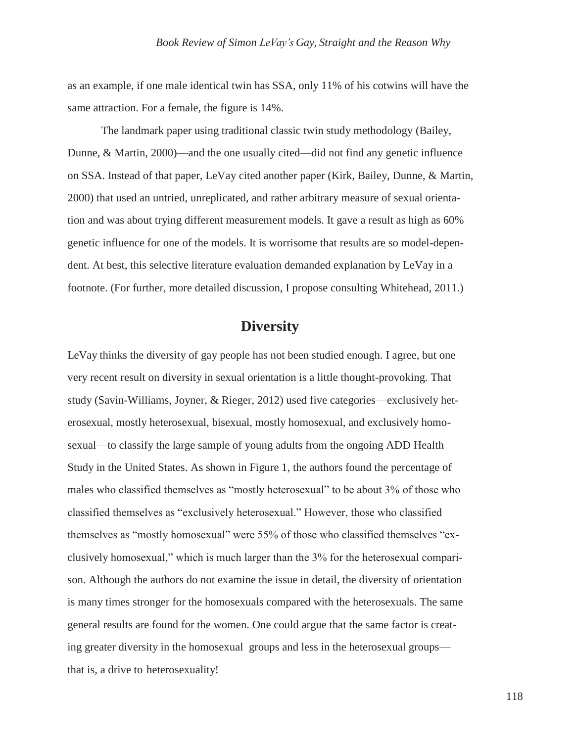as an example, if one male identical twin has SSA, only 11% of his cotwins will have the same attraction. For a female, the figure is 14%.

The landmark paper using traditional classic twin study methodology (Bailey, Dunne, & Martin, 2000)—and the one usually cited—did not find any genetic influence on SSA. Instead of that paper, LeVay cited another paper (Kirk, Bailey, Dunne, & Martin, 2000) that used an untried, unreplicated, and rather arbitrary measure of sexual orientation and was about trying different measurement models. It gave a result as high as 60% genetic influence for one of the models. It is worrisome that results are so model-dependent. At best, this selective literature evaluation demanded explanation by LeVay in a footnote. (For further, more detailed discussion, I propose consulting Whitehead, 2011.)

# **Diversity**

LeVay thinks the diversity of gay people has not been studied enough. I agree, but one very recent result on diversity in sexual orientation is a little thought-provoking. That study (Savin-Williams, Joyner, & Rieger, 2012) used five categories—exclusively heterosexual, mostly heterosexual, bisexual, mostly homosexual, and exclusively homosexual—to classify the large sample of young adults from the ongoing ADD Health Study in the United States. As shown in Figure 1, the authors found the percentage of males who classified themselves as "mostly heterosexual" to be about 3% of those who classified themselves as "exclusively heterosexual." However, those who classified themselves as "mostly homosexual" were 55% of those who classified themselves "exclusively homosexual," which is much larger than the 3% for the heterosexual comparison. Although the authors do not examine the issue in detail, the diversity of orientation is many times stronger for the homosexuals compared with the heterosexuals. The same general results are found for the women. One could argue that the same factor is creating greater diversity in the homosexual groups and less in the heterosexual groups that is, a drive to heterosexuality!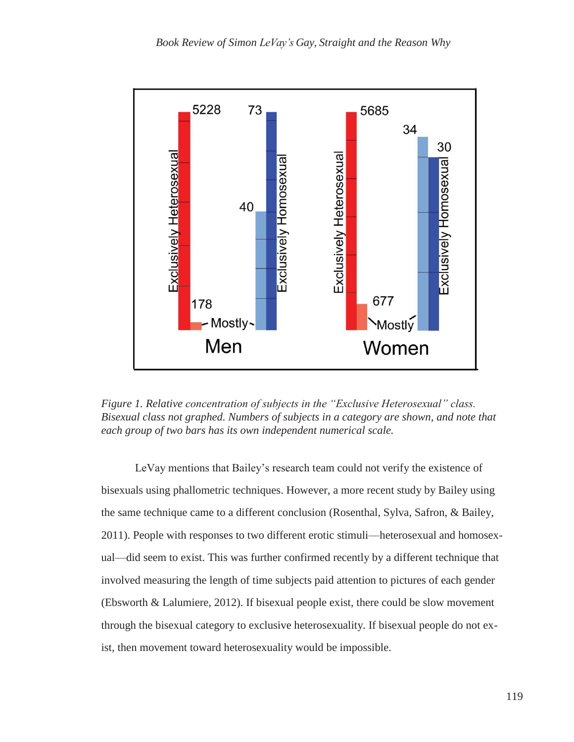

*Figure 1. Relative concentration of subjects in the "Exclusive Heterosexual" class. Bisexual class not graphed. Numbers of subjects in a category are shown, and note that each group of two bars has its own independent numerical scale.*

LeVay mentions that Bailey's research team could not verify the existence of bisexuals using phallometric techniques. However, a more recent study by Bailey using the same technique came to a different conclusion (Rosenthal, Sylva, Safron, & Bailey, 2011). People with responses to two different erotic stimuli—heterosexual and homosexual—did seem to exist. This was further confirmed recently by a different technique that involved measuring the length of time subjects paid attention to pictures of each gender (Ebsworth & Lalumiere, 2012). If bisexual people exist, there could be slow movement through the bisexual category to exclusive heterosexuality. If bisexual people do not exist, then movement toward heterosexuality would be impossible.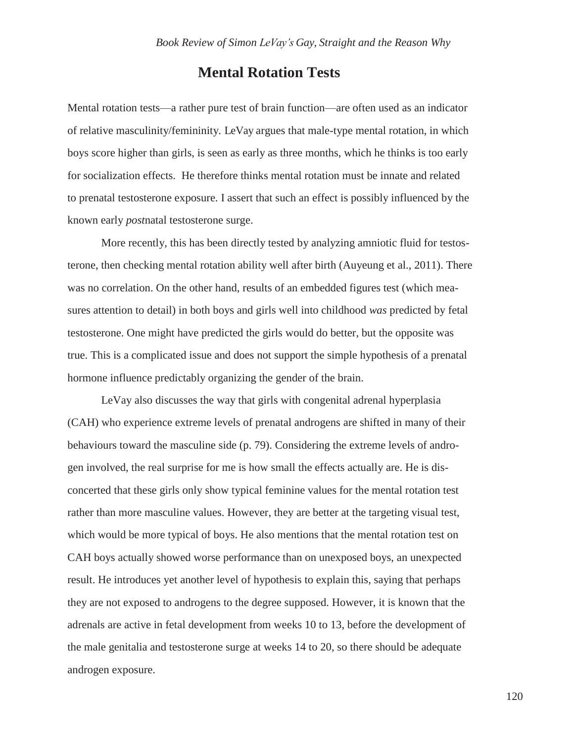#### **Mental Rotation Tests**

Mental rotation tests—a rather pure test of brain function—are often used as an indicator of relative masculinity/femininity. LeVay argues that male-type mental rotation, in which boys score higher than girls, is seen as early as three months, which he thinks is too early for socialization effects. He therefore thinks mental rotation must be innate and related to prenatal testosterone exposure. I assert that such an effect is possibly influenced by the known early *post*natal testosterone surge.

More recently, this has been directly tested by analyzing amniotic fluid for testosterone, then checking mental rotation ability well after birth (Auyeung et al., 2011). There was no correlation. On the other hand, results of an embedded figures test (which measures attention to detail) in both boys and girls well into childhood *was* predicted by fetal testosterone. One might have predicted the girls would do better, but the opposite was true. This is a complicated issue and does not support the simple hypothesis of a prenatal hormone influence predictably organizing the gender of the brain.

LeVay also discusses the way that girls with congenital adrenal hyperplasia (CAH) who experience extreme levels of prenatal androgens are shifted in many of their behaviours toward the masculine side (p. 79). Considering the extreme levels of androgen involved, the real surprise for me is how small the effects actually are. He is disconcerted that these girls only show typical feminine values for the mental rotation test rather than more masculine values. However, they are better at the targeting visual test, which would be more typical of boys. He also mentions that the mental rotation test on CAH boys actually showed worse performance than on unexposed boys, an unexpected result. He introduces yet another level of hypothesis to explain this, saying that perhaps they are not exposed to androgens to the degree supposed. However, it is known that the adrenals are active in fetal development from weeks 10 to 13, before the development of the male genitalia and testosterone surge at weeks 14 to 20, so there should be adequate androgen exposure.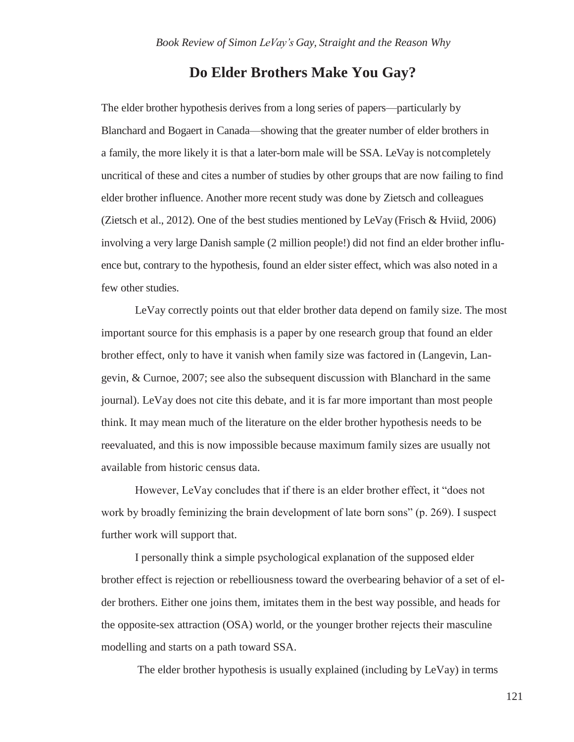#### **Do Elder Brothers Make You Gay?**

The elder brother hypothesis derives from a long series of papers—particularly by Blanchard and Bogaert in Canada—showing that the greater number of elder brothers in a family, the more likely it is that a later-born male will be SSA. LeVay is notcompletely uncritical of these and cites a number of studies by other groups that are now failing to find elder brother influence. Another more recent study was done by Zietsch and colleagues (Zietsch et al., 2012). One of the best studies mentioned by LeVay (Frisch & Hviid, 2006) involving a very large Danish sample (2 million people!) did not find an elder brother influence but, contrary to the hypothesis, found an elder sister effect, which was also noted in a few other studies.

LeVay correctly points out that elder brother data depend on family size. The most important source for this emphasis is a paper by one research group that found an elder brother effect, only to have it vanish when family size was factored in (Langevin, Langevin, & Curnoe, 2007; see also the subsequent discussion with Blanchard in the same journal). LeVay does not cite this debate, and it is far more important than most people think. It may mean much of the literature on the elder brother hypothesis needs to be reevaluated, and this is now impossible because maximum family sizes are usually not available from historic census data.

However, LeVay concludes that if there is an elder brother effect, it "does not work by broadly feminizing the brain development of late born sons" (p. 269). I suspect further work will support that.

I personally think a simple psychological explanation of the supposed elder brother effect is rejection or rebelliousness toward the overbearing behavior of a set of elder brothers. Either one joins them, imitates them in the best way possible, and heads for the opposite-sex attraction (OSA) world, or the younger brother rejects their masculine modelling and starts on a path toward SSA.

The elder brother hypothesis is usually explained (including by LeVay) in terms

121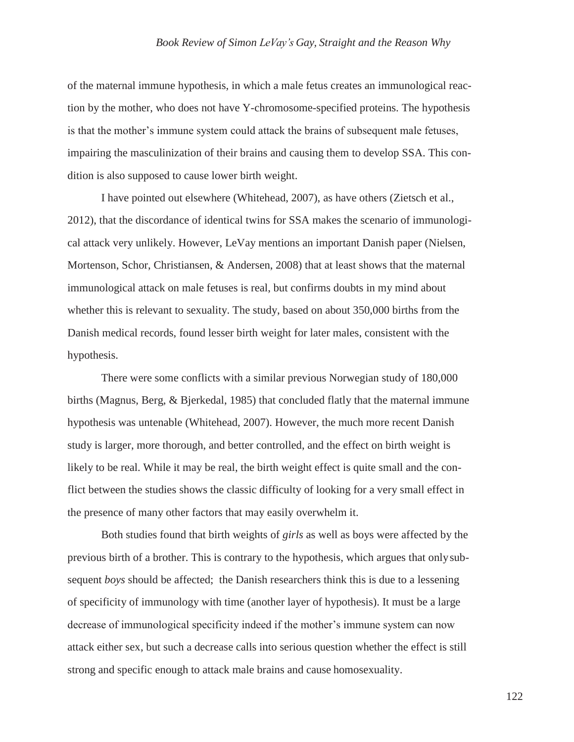of the maternal immune hypothesis, in which a male fetus creates an immunological reaction by the mother, who does not have Y-chromosome-specified proteins. The hypothesis is that the mother's immune system could attack the brains of subsequent male fetuses, impairing the masculinization of their brains and causing them to develop SSA. This condition is also supposed to cause lower birth weight.

I have pointed out elsewhere (Whitehead, 2007), as have others (Zietsch et al., 2012), that the discordance of identical twins for SSA makes the scenario of immunological attack very unlikely. However, LeVay mentions an important Danish paper (Nielsen, Mortenson, Schor, Christiansen, & Andersen, 2008) that at least shows that the maternal immunological attack on male fetuses is real, but confirms doubts in my mind about whether this is relevant to sexuality. The study, based on about 350,000 births from the Danish medical records, found lesser birth weight for later males, consistent with the hypothesis.

There were some conflicts with a similar previous Norwegian study of 180,000 births (Magnus, Berg, & Bjerkedal, 1985) that concluded flatly that the maternal immune hypothesis was untenable (Whitehead, 2007). However, the much more recent Danish study is larger, more thorough, and better controlled, and the effect on birth weight is likely to be real. While it may be real, the birth weight effect is quite small and the conflict between the studies shows the classic difficulty of looking for a very small effect in the presence of many other factors that may easily overwhelm it.

Both studies found that birth weights of *girls* as well as boys were affected by the previous birth of a brother. This is contrary to the hypothesis, which argues that onlysubsequent *boys* should be affected; the Danish researchers think this is due to a lessening of specificity of immunology with time (another layer of hypothesis). It must be a large decrease of immunological specificity indeed if the mother's immune system can now attack either sex, but such a decrease calls into serious question whether the effect is still strong and specific enough to attack male brains and cause homosexuality.

122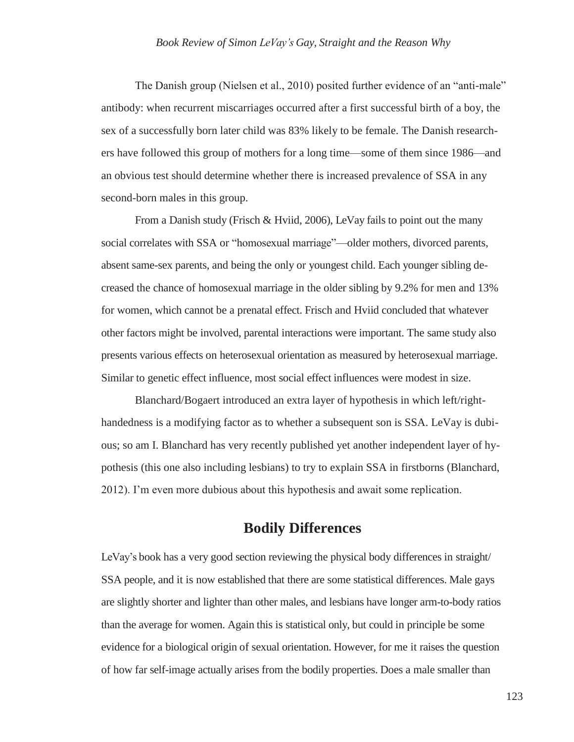#### *Book Review of Simon LeVay's Gay, Straight and the Reason Why*

The Danish group (Nielsen et al., 2010) posited further evidence of an "anti-male" antibody: when recurrent miscarriages occurred after a first successful birth of a boy, the sex of a successfully born later child was 83% likely to be female. The Danish researchers have followed this group of mothers for a long time—some of them since 1986—and an obvious test should determine whether there is increased prevalence of SSA in any second-born males in this group.

From a Danish study (Frisch & Hviid, 2006), LeVay fails to point out the many social correlates with SSA or "homosexual marriage"—older mothers, divorced parents, absent same-sex parents, and being the only or youngest child. Each younger sibling decreased the chance of homosexual marriage in the older sibling by 9.2% for men and 13% for women, which cannot be a prenatal effect. Frisch and Hviid concluded that whatever other factors might be involved, parental interactions were important. The same study also presents various effects on heterosexual orientation as measured by heterosexual marriage. Similar to genetic effect influence, most social effect influences were modest in size.

Blanchard/Bogaert introduced an extra layer of hypothesis in which left/righthandedness is a modifying factor as to whether a subsequent son is SSA. LeVay is dubious; so am I. Blanchard has very recently published yet another independent layer of hypothesis (this one also including lesbians) to try to explain SSA in firstborns (Blanchard, 2012). I'm even more dubious about this hypothesis and await some replication.

## **Bodily Differences**

LeVay's book has a very good section reviewing the physical body differences in straight/ SSA people, and it is now established that there are some statistical differences. Male gays are slightly shorter and lighter than other males, and lesbians have longer arm-to-body ratios than the average for women. Again this is statistical only, but could in principle be some evidence for a biological origin of sexual orientation. However, for me it raises the question of how far self-image actually arises from the bodily properties. Does a male smaller than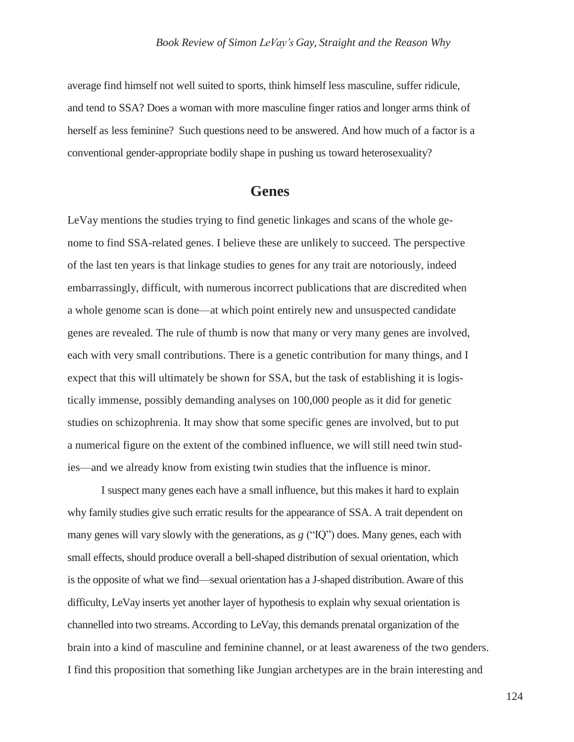average find himself not well suited to sports, think himself less masculine, suffer ridicule, and tend to SSA? Does a woman with more masculine finger ratios and longer arms think of herself as less feminine? Such questions need to be answered. And how much of a factor is a conventional gender-appropriate bodily shape in pushing us toward heterosexuality?

#### **Genes**

LeVay mentions the studies trying to find genetic linkages and scans of the whole genome to find SSA-related genes. I believe these are unlikely to succeed. The perspective of the last ten years is that linkage studies to genes for any trait are notoriously, indeed embarrassingly, difficult, with numerous incorrect publications that are discredited when a whole genome scan is done—at which point entirely new and unsuspected candidate genes are revealed. The rule of thumb is now that many or very many genes are involved, each with very small contributions. There is a genetic contribution for many things, and I expect that this will ultimately be shown for SSA, but the task of establishing it is logistically immense, possibly demanding analyses on 100,000 people as it did for genetic studies on schizophrenia. It may show that some specific genes are involved, but to put a numerical figure on the extent of the combined influence, we will still need twin studies—and we already know from existing twin studies that the influence is minor.

I suspect many genes each have a small influence, but this makes it hard to explain why family studies give such erratic results for the appearance of SSA. A trait dependent on many genes will vary slowly with the generations, as *g* ("IQ") does. Many genes, each with small effects, should produce overall a bell-shaped distribution of sexual orientation, which is the opposite of what we find—sexual orientation has a J-shaped distribution.Aware of this difficulty, LeVay inserts yet another layer of hypothesis to explain why sexual orientation is channelled into two streams.According to LeVay, this demands prenatal organization of the brain into a kind of masculine and feminine channel, or at least awareness of the two genders. I find this proposition that something like Jungian archetypes are in the brain interesting and

124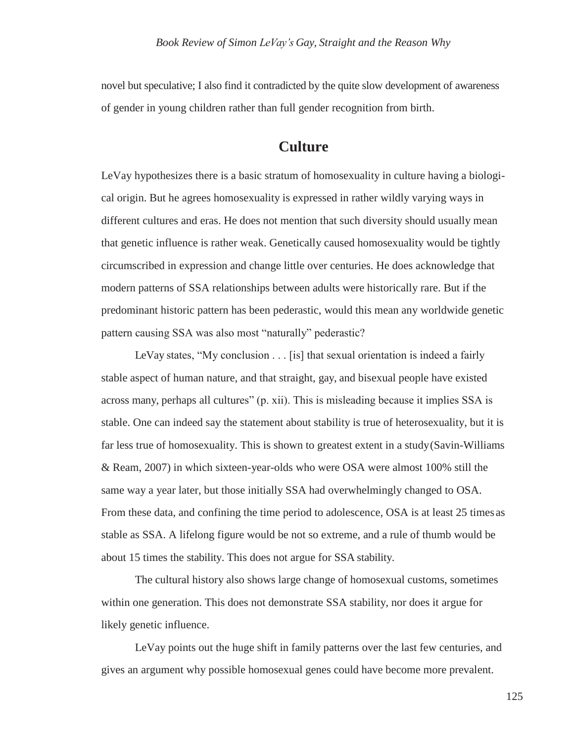novel but speculative; I also find it contradicted by the quite slow development of awareness of gender in young children rather than full gender recognition from birth.

## **Culture**

LeVay hypothesizes there is a basic stratum of homosexuality in culture having a biological origin. But he agrees homosexuality is expressed in rather wildly varying ways in different cultures and eras. He does not mention that such diversity should usually mean that genetic influence is rather weak. Genetically caused homosexuality would be tightly circumscribed in expression and change little over centuries. He does acknowledge that modern patterns of SSA relationships between adults were historically rare. But if the predominant historic pattern has been pederastic, would this mean any worldwide genetic pattern causing SSA was also most "naturally" pederastic?

LeVay states, "My conclusion  $\ldots$  [is] that sexual orientation is indeed a fairly stable aspect of human nature, and that straight, gay, and bisexual people have existed across many, perhaps all cultures" (p. xii). This is misleading because it implies SSA is stable. One can indeed say the statement about stability is true of heterosexuality, but it is far less true of homosexuality. This is shown to greatest extent in a study(Savin-Williams & Ream, 2007) in which sixteen-year-olds who were OSA were almost 100% still the same way a year later, but those initially SSA had overwhelmingly changed to OSA. From these data, and confining the time period to adolescence, OSA is at least 25 times as stable as SSA. A lifelong figure would be not so extreme, and a rule of thumb would be about 15 times the stability. This does not argue for SSA stability.

The cultural history also shows large change of homosexual customs, sometimes within one generation. This does not demonstrate SSA stability, nor does it argue for likely genetic influence.

LeVay points out the huge shift in family patterns over the last few centuries, and gives an argument why possible homosexual genes could have become more prevalent.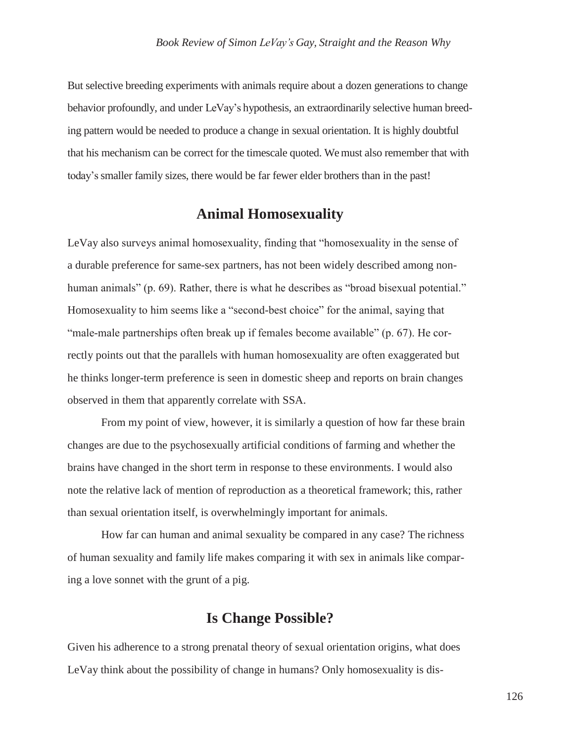But selective breeding experiments with animals require about a dozen generations to change behavior profoundly, and under LeVay's hypothesis, an extraordinarily selective human breeding pattern would be needed to produce a change in sexual orientation. It is highly doubtful that his mechanism can be correct for the timescale quoted. We must also remember that with today's smaller family sizes, there would be far fewer elder brothers than in the past!

# **Animal Homosexuality**

LeVay also surveys animal homosexuality, finding that "homosexuality in the sense of a durable preference for same-sex partners, has not been widely described among nonhuman animals" (p. 69). Rather, there is what he describes as "broad bisexual potential." Homosexuality to him seems like a "second-best choice" for the animal, saying that "male-male partnerships often break up if females become available" (p. 67). He correctly points out that the parallels with human homosexuality are often exaggerated but he thinks longer-term preference is seen in domestic sheep and reports on brain changes observed in them that apparently correlate with SSA.

From my point of view, however, it is similarly a question of how far these brain changes are due to the psychosexually artificial conditions of farming and whether the brains have changed in the short term in response to these environments. I would also note the relative lack of mention of reproduction as a theoretical framework; this, rather than sexual orientation itself, is overwhelmingly important for animals.

How far can human and animal sexuality be compared in any case? The richness of human sexuality and family life makes comparing it with sex in animals like comparing a love sonnet with the grunt of a pig.

# **Is Change Possible?**

Given his adherence to a strong prenatal theory of sexual orientation origins, what does LeVay think about the possibility of change in humans? Only homosexuality is dis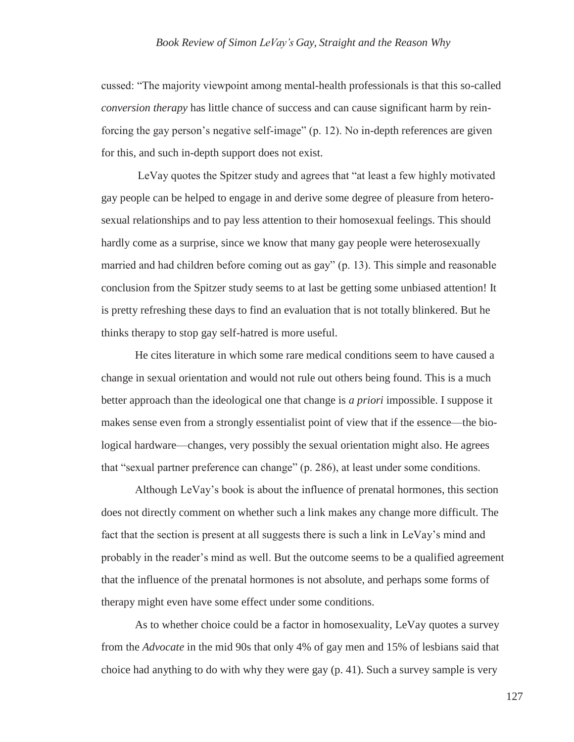cussed: "The majority viewpoint among mental-health professionals is that this so-called *conversion therapy* has little chance of success and can cause significant harm by reinforcing the gay person's negative self-image" (p. 12). No in-depth references are given for this, and such in-depth support does not exist.

LeVay quotes the Spitzer study and agrees that "at least a few highly motivated gay people can be helped to engage in and derive some degree of pleasure from heterosexual relationships and to pay less attention to their homosexual feelings. This should hardly come as a surprise, since we know that many gay people were heterosexually married and had children before coming out as gay" (p. 13). This simple and reasonable conclusion from the Spitzer study seems to at last be getting some unbiased attention! It is pretty refreshing these days to find an evaluation that is not totally blinkered. But he thinks therapy to stop gay self-hatred is more useful.

He cites literature in which some rare medical conditions seem to have caused a change in sexual orientation and would not rule out others being found. This is a much better approach than the ideological one that change is *a priori* impossible. I suppose it makes sense even from a strongly essentialist point of view that if the essence—the biological hardware—changes, very possibly the sexual orientation might also. He agrees that "sexual partner preference can change" (p. 286), at least under some conditions.

Although LeVay's book is about the influence of prenatal hormones, this section does not directly comment on whether such a link makes any change more difficult. The fact that the section is present at all suggests there is such a link in LeVay's mind and probably in the reader's mind as well. But the outcome seems to be a qualified agreement that the influence of the prenatal hormones is not absolute, and perhaps some forms of therapy might even have some effect under some conditions.

As to whether choice could be a factor in homosexuality, LeVay quotes a survey from the *Advocate* in the mid 90s that only 4% of gay men and 15% of lesbians said that choice had anything to do with why they were gay (p. 41). Such a survey sample is very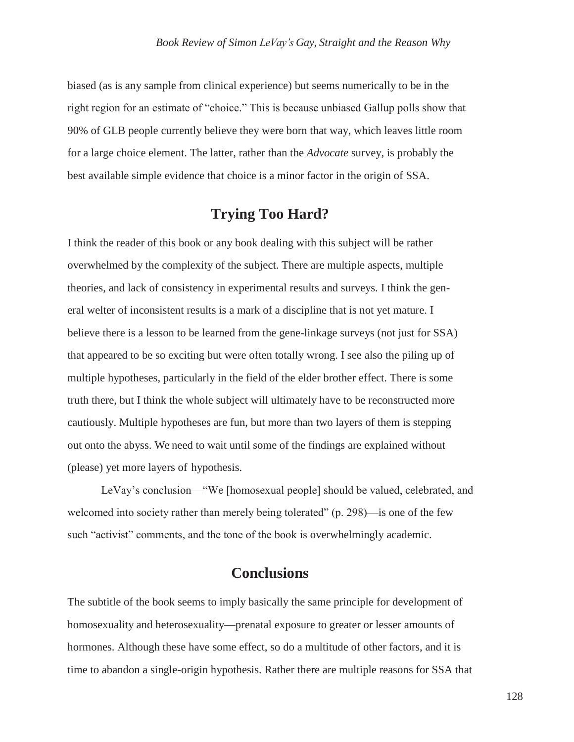biased (as is any sample from clinical experience) but seems numerically to be in the right region for an estimate of "choice." This is because unbiased Gallup polls show that 90% of GLB people currently believe they were born that way, which leaves little room for a large choice element. The latter, rather than the *Advocate* survey, is probably the best available simple evidence that choice is a minor factor in the origin of SSA.

# **Trying Too Hard?**

I think the reader of this book or any book dealing with this subject will be rather overwhelmed by the complexity of the subject. There are multiple aspects, multiple theories, and lack of consistency in experimental results and surveys. I think the general welter of inconsistent results is a mark of a discipline that is not yet mature. I believe there is a lesson to be learned from the gene-linkage surveys (not just for SSA) that appeared to be so exciting but were often totally wrong. I see also the piling up of multiple hypotheses, particularly in the field of the elder brother effect. There is some truth there, but I think the whole subject will ultimately have to be reconstructed more cautiously. Multiple hypotheses are fun, but more than two layers of them is stepping out onto the abyss. We need to wait until some of the findings are explained without (please) yet more layers of hypothesis.

LeVay's conclusion—"We [homosexual people] should be valued, celebrated, and welcomed into society rather than merely being tolerated" (p. 298)—is one of the few such "activist" comments, and the tone of the book is overwhelmingly academic.

# **Conclusions**

The subtitle of the book seems to imply basically the same principle for development of homosexuality and heterosexuality—prenatal exposure to greater or lesser amounts of hormones. Although these have some effect, so do a multitude of other factors, and it is time to abandon a single-origin hypothesis. Rather there are multiple reasons for SSA that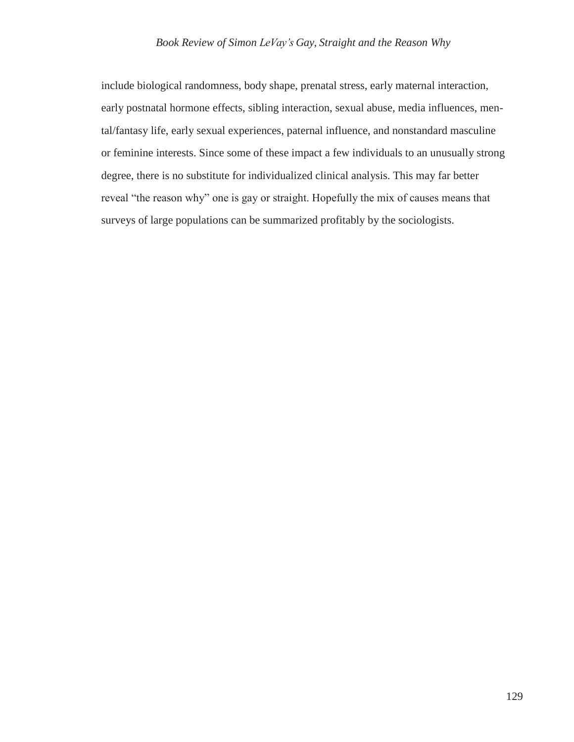include biological randomness, body shape, prenatal stress, early maternal interaction, early postnatal hormone effects, sibling interaction, sexual abuse, media influences, mental/fantasy life, early sexual experiences, paternal influence, and nonstandard masculine or feminine interests. Since some of these impact a few individuals to an unusually strong degree, there is no substitute for individualized clinical analysis. This may far better reveal "the reason why" one is gay or straight. Hopefully the mix of causes means that surveys of large populations can be summarized profitably by the sociologists.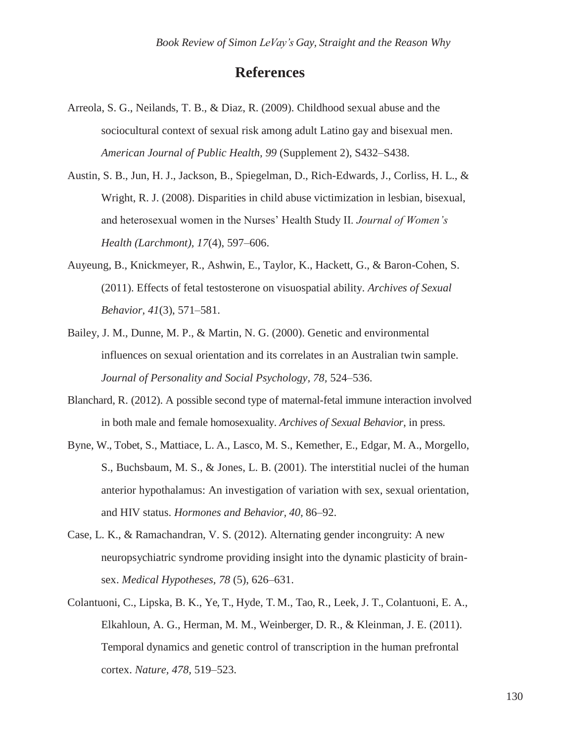# **References**

- Arreola, S. G., Neilands, T. B., & Diaz, R. (2009). Childhood sexual abuse and the sociocultural context of sexual risk among adult Latino gay and bisexual men. *American Journal of Public Health, 99* (Supplement 2), S432–S438.
- Austin, S. B., Jun, H. J., Jackson, B., Spiegelman, D., Rich-Edwards, J., Corliss, H. L., & Wright, R. J. (2008). Disparities in child abuse victimization in lesbian, bisexual, and heterosexual women in the Nurses' Health Study II. *Journal of Women's Health (Larchmont), 17*(4), 597–606.
- Auyeung, B., Knickmeyer, R., Ashwin, E., Taylor, K., Hackett, G., & Baron-Cohen, S. (2011). Effects of fetal testosterone on visuospatial ability. *Archives of Sexual Behavior, 41*(3), 571–581.
- Bailey, J. M., Dunne, M. P., & Martin, N. G. (2000). Genetic and environmental influences on sexual orientation and its correlates in an Australian twin sample. *Journal of Personality and Social Psychology, 78,* 524–536.
- Blanchard, R. (2012). A possible second type of maternal-fetal immune interaction involved in both male and female homosexuality. *Archives of Sexual Behavior*, in press.
- Byne, W., Tobet, S., Mattiace, L. A., Lasco, M. S., Kemether, E., Edgar, M. A., Morgello, S., Buchsbaum, M. S., & Jones, L. B. (2001). The interstitial nuclei of the human anterior hypothalamus: An investigation of variation with sex, sexual orientation, and HIV status. *Hormones and Behavior, 40,* 86–92.
- Case, L. K., & Ramachandran, V. S. (2012). Alternating gender incongruity: A new neuropsychiatric syndrome providing insight into the dynamic plasticity of brainsex. *Medical Hypotheses, 78* (5), 626–631.
- Colantuoni, C., Lipska, B. K., Ye, T., Hyde, T. M., Tao, R., Leek, J. T., Colantuoni, E. A., Elkahloun, A. G., Herman, M. M., Weinberger, D. R., & Kleinman, J. E. (2011). Temporal dynamics and genetic control of transcription in the human prefrontal cortex. *Nature, 478,* 519–523.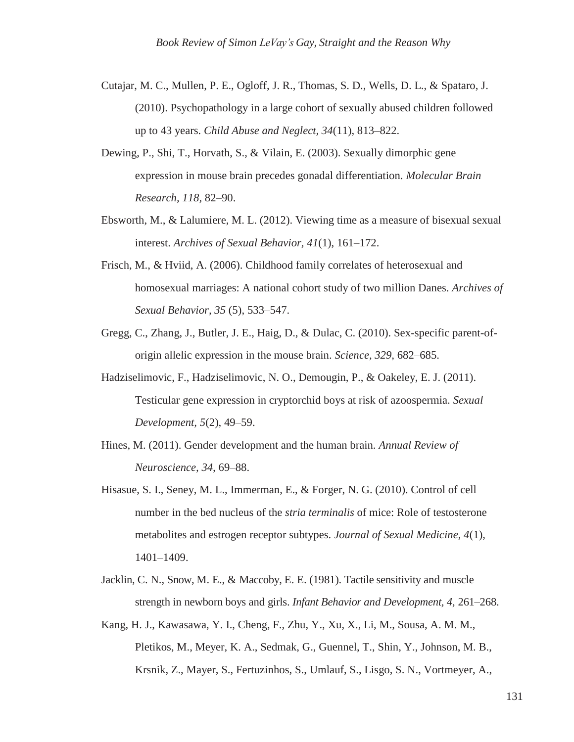- Cutajar, M. C., Mullen, P. E., Ogloff, J. R., Thomas, S. D., Wells, D. L., & Spataro, J. (2010). Psychopathology in a large cohort of sexually abused children followed up to 43 years. *Child Abuse and Neglect, 34*(11), 813–822.
- Dewing, P., Shi, T., Horvath, S., & Vilain, E. (2003). Sexually dimorphic gene expression in mouse brain precedes gonadal differentiation. *Molecular Brain Research, 118,* 82–90.
- Ebsworth, M., & Lalumiere, M. L. (2012). Viewing time as a measure of bisexual sexual interest. *Archives of Sexual Behavior, 41*(1), 161–172.
- Frisch, M., & Hviid, A. (2006). Childhood family correlates of heterosexual and homosexual marriages: A national cohort study of two million Danes. *Archives of Sexual Behavior, 35* (5), 533–547.
- Gregg, C., Zhang, J., Butler, J. E., Haig, D., & Dulac, C. (2010). Sex-specific parent-oforigin allelic expression in the mouse brain. *Science, 329,* 682–685.
- Hadziselimovic, F., Hadziselimovic, N. O., Demougin, P., & Oakeley, E. J. (2011). Testicular gene expression in cryptorchid boys at risk of azoospermia. *Sexual Development, 5*(2), 49–59.
- Hines, M. (2011). Gender development and the human brain. *Annual Review of Neuroscience, 34,* 69–88.
- Hisasue, S. I., Seney, M. L., Immerman, E., & Forger, N. G. (2010). Control of cell number in the bed nucleus of the *stria terminalis* of mice: Role of testosterone metabolites and estrogen receptor subtypes. *Journal of Sexual Medicine, 4*(1), 1401–1409.
- Jacklin, C. N., Snow, M. E., & Maccoby, E. E. (1981). Tactile sensitivity and muscle strength in newborn boys and girls. *Infant Behavior and Development, 4,* 261–268.
- Kang, H. J., Kawasawa, Y. I., Cheng, F., Zhu, Y., Xu, X., Li, M., Sousa, A. M. M., Pletikos, M., Meyer, K. A., Sedmak, G., Guennel, T., Shin, Y., Johnson, M. B., Krsnik, Z., Mayer, S., Fertuzinhos, S., Umlauf, S., Lisgo, S. N., Vortmeyer, A.,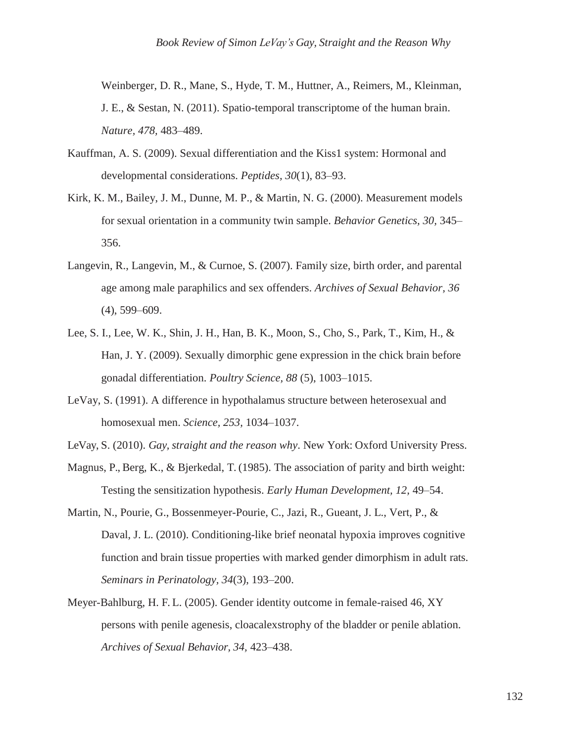Weinberger, D. R., Mane, S., Hyde, T. M., Huttner, A., Reimers, M., Kleinman, J. E., & Sestan, N. (2011). Spatio-temporal transcriptome of the human brain. *Nature, 478,* 483–489.

- Kauffman, A. S. (2009). Sexual differentiation and the Kiss1 system: Hormonal and developmental considerations. *Peptides, 30*(1), 83–93.
- Kirk, K. M., Bailey, J. M., Dunne, M. P., & Martin, N. G. (2000). Measurement models for sexual orientation in a community twin sample. *Behavior Genetics, 30,* 345– 356.
- Langevin, R., Langevin, M., & Curnoe, S. (2007). Family size, birth order, and parental age among male paraphilics and sex offenders. *Archives of Sexual Behavior, 36*  (4), 599–609.
- Lee, S. I., Lee, W. K., Shin, J. H., Han, B. K., Moon, S., Cho, S., Park, T., Kim, H., & Han, J. Y. (2009). Sexually dimorphic gene expression in the chick brain before gonadal differentiation. *Poultry Science, 88* (5), 1003–1015.
- LeVay, S. (1991). A difference in hypothalamus structure between heterosexual and homosexual men. *Science, 253,* 1034–1037.
- LeVay, S. (2010). *Gay, straight and the reason why*. New York: Oxford University Press.
- Magnus, P., Berg, K., & Bjerkedal, T. (1985). The association of parity and birth weight: Testing the sensitization hypothesis. *Early Human Development, 12,* 49–54.
- Martin, N., Pourie, G., Bossenmeyer-Pourie, C., Jazi, R., Gueant, J. L., Vert, P., & Daval, J. L. (2010). Conditioning-like brief neonatal hypoxia improves cognitive function and brain tissue properties with marked gender dimorphism in adult rats. *Seminars in Perinatology, 34*(3), 193–200.
- Meyer-Bahlburg, H. F. L. (2005). Gender identity outcome in female-raised 46, XY persons with penile agenesis, cloacalexstrophy of the bladder or penile ablation. *Archives of Sexual Behavior, 34,* 423–438.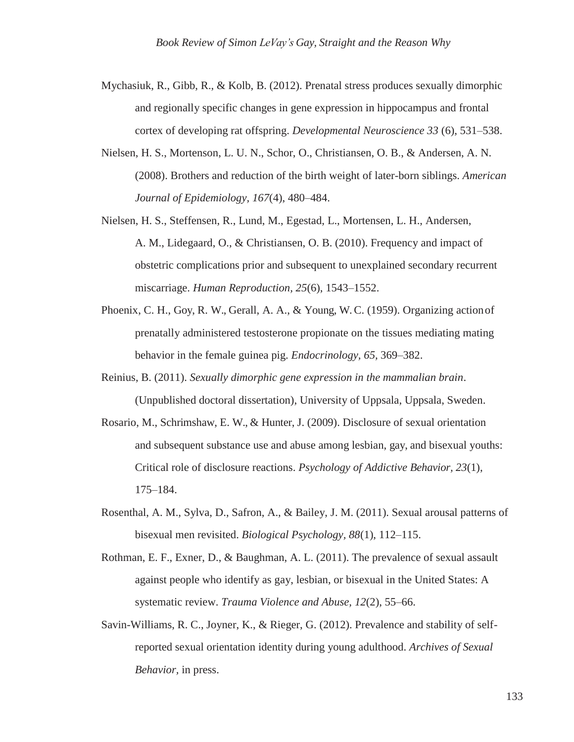- Mychasiuk, R., Gibb, R., & Kolb, B. (2012). Prenatal stress produces sexually dimorphic and regionally specific changes in gene expression in hippocampus and frontal cortex of developing rat offspring. *Developmental Neuroscience 33* (6), 531–538.
- Nielsen, H. S., Mortenson, L. U. N., Schor, O., Christiansen, O. B., & Andersen, A. N. (2008). Brothers and reduction of the birth weight of later-born siblings. *American Journal of Epidemiology, 167*(4), 480–484.
- Nielsen, H. S., Steffensen, R., Lund, M., Egestad, L., Mortensen, L. H., Andersen, A. M., Lidegaard, O., & Christiansen, O. B. (2010). Frequency and impact of obstetric complications prior and subsequent to unexplained secondary recurrent miscarriage. *Human Reproduction, 25*(6), 1543–1552.
- Phoenix, C. H., Goy, R. W., Gerall, A. A., & Young, W. C. (1959). Organizing actionof prenatally administered testosterone propionate on the tissues mediating mating behavior in the female guinea pig. *Endocrinology, 65,* 369–382.
- Reinius, B. (2011). *Sexually dimorphic gene expression in the mammalian brain*. (Unpublished doctoral dissertation), University of Uppsala, Uppsala, Sweden.
- Rosario, M., Schrimshaw, E. W., & Hunter, J. (2009). Disclosure of sexual orientation and subsequent substance use and abuse among lesbian, gay, and bisexual youths: Critical role of disclosure reactions. *Psychology of Addictive Behavior, 23*(1), 175–184.
- Rosenthal, A. M., Sylva, D., Safron, A., & Bailey, J. M. (2011). Sexual arousal patterns of bisexual men revisited. *Biological Psychology, 88*(1), 112–115.
- Rothman, E. F., Exner, D., & Baughman, A. L. (2011). The prevalence of sexual assault against people who identify as gay, lesbian, or bisexual in the United States: A systematic review. *Trauma Violence and Abuse, 12*(2), 55–66.
- Savin-Williams, R. C., Joyner, K., & Rieger, G. (2012). Prevalence and stability of selfreported sexual orientation identity during young adulthood. *Archives of Sexual Behavior,* in press.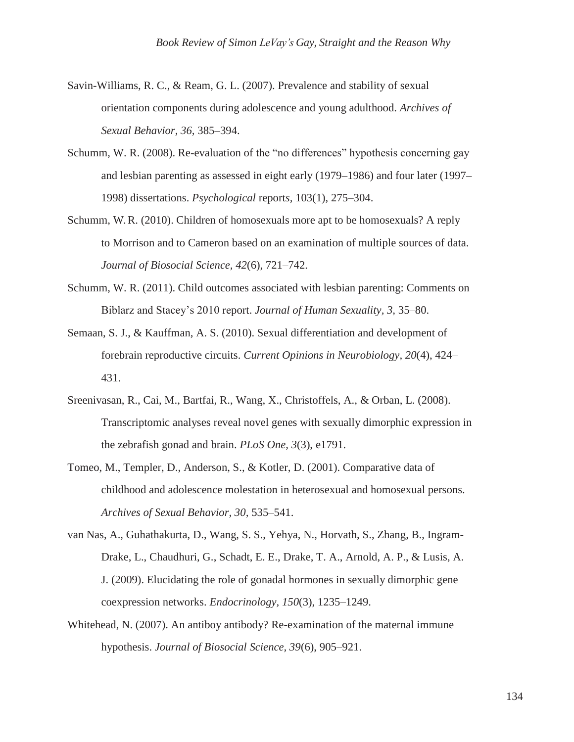- Savin-Williams, R. C., & Ream, G. L. (2007). Prevalence and stability of sexual orientation components during adolescence and young adulthood. *Archives of Sexual Behavior, 36,* 385–394.
- Schumm, W. R. (2008). Re-evaluation of the "no differences" hypothesis concerning gay and lesbian parenting as assessed in eight early (1979–1986) and four later (1997– 1998) dissertations. *Psychological* report*s,* 103(1), 275–304.
- Schumm, W. R. (2010). Children of homosexuals more apt to be homosexuals? A reply to Morrison and to Cameron based on an examination of multiple sources of data. *Journal of Biosocial Science, 42*(6), 721–742.
- Schumm, W. R. (2011). Child outcomes associated with lesbian parenting: Comments on Biblarz and Stacey's 2010 report. *Journal of Human Sexuality, 3,* 35–80.
- Semaan, S. J., & Kauffman, A. S. (2010). Sexual differentiation and development of forebrain reproductive circuits. *Current Opinions in Neurobiology, 20*(4), 424– 431.
- Sreenivasan, R., Cai, M., Bartfai, R., Wang, X., Christoffels, A., & Orban, L. (2008). Transcriptomic analyses reveal novel genes with sexually dimorphic expression in the zebrafish gonad and brain. *PLoS One, 3*(3), e1791.
- Tomeo, M., Templer, D., Anderson, S., & Kotler, D. (2001). Comparative data of childhood and adolescence molestation in heterosexual and homosexual persons. *Archives of Sexual Behavior, 30,* 535–541.
- van Nas, A., Guhathakurta, D., Wang, S. S., Yehya, N., Horvath, S., Zhang, B., Ingram-Drake, L., Chaudhuri, G., Schadt, E. E., Drake, T. A., Arnold, A. P., & Lusis, A. J. (2009). Elucidating the role of gonadal hormones in sexually dimorphic gene coexpression networks. *Endocrinology, 150*(3), 1235–1249.
- Whitehead, N. (2007). An antiboy antibody? Re-examination of the maternal immune hypothesis. *Journal of Biosocial Science, 39*(6), 905–921.